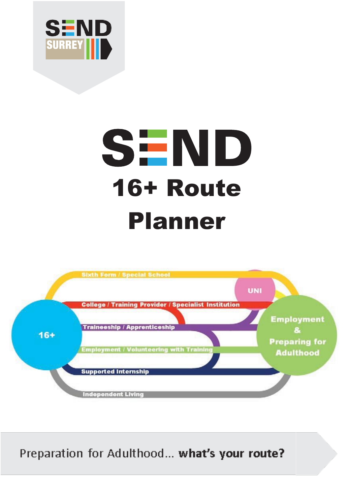

# **SEND** 16+ Route Planner



Preparation for Adulthood... what's your route?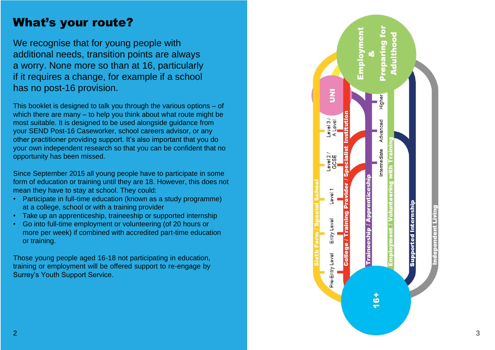### What's your route?

We recognise that for young people with additional needs, transition points are always a worry. None more so than at 16, particularly if it requires a change, for example if a school has no post -16 provision.

This booklet is designed to talk you through the various options – of which there are many – to help you think about what route might be most suitable. It is designed to be used alongside guidance from your SEND Post -16 Caseworker, school careers advisor, or any other practitioner providing support. It's also important that you do your own independent research so that you can be confident that no opportunity has been missed.

Since September 2015 all young people have to participate in some form of education or training until they are 18. However, this does not mean they have to stay at school. They could:

- Participate in full-time education (known as a study programme) at a college, school or with a training provider
- Take up an apprenticeship, traineeship or supported internship
- Go into full-time employment or volunteering (of 20 hours or more per week) if combined with accredited part -time education or training.

Those young people aged 16 -18 not participating in education, training or employment will be offered support to re -engage by Surrey's Youth Support Service.

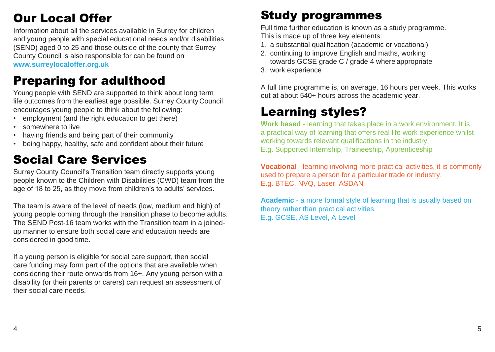# Our Local Offer

Information about all the services available in Surrey for children and young people with special educational needs and/or disabilities (SEND) aged 0 to 25 and those outside of the county that Surrey County Council is also responsible for can be found on **[www.surreylocaloffer.org.uk](http://www.surreylocaloffer.org.uk/)**

### Preparing for adulthood

Young people with SEND are supported to think about long term life outcomes from the earliest age possible. Surrey CountyCouncil encourages young people to think about the following:

- employment (and the right education to get there)
- somewhere to live
- having friends and being part of their community
- being happy, healthy, safe and confident about their future

### Social Care Services

Surrey County Council's Transition team directly supports young people known to the Children with Disabilities (CWD) team from the age of 18 to 25, as they move from children's to adults' services.

The team is aware of the level of needs (low, medium and high) of young people coming through the transition phase to become adults. The SEND Post-16 team works with the Transition team in a joinedup manner to ensure both social care and education needs are considered in good time.

If a young person is eligible for social care support, then social care funding may form part of the options that are available when considering their route onwards from 16+. Any young person with a disability (or their parents or carers) can request an assessment of their social care needs.

# Study programmes

Full time further education is known as a study programme. This is made up of three key elements:

- 1. a substantial qualification (academic or vocational)
- 2. continuing to improve English and maths, working towards GCSE grade C / grade 4 where appropriate
- 3. work experience

A full time programme is, on average, 16 hours per week. This works out at about 540+ hours across the academic year.

### Learning styles?

**Work based** - learning that takes place in a work environment. It is a practical way of learning that offers real life work experience whilst working towards relevant qualifications in the industry. E.g. Supported Internship, Traineeship, Apprenticeship

**Vocational** - learning involving more practical activities, it is commonly used to prepare a person for a particular trade or industry. E.g. BTEC, NVQ, Laser, ASDAN

**Academic** - a more formal style of learning that is usually based on theory rather than practical activities. E.g. GCSE, AS Level, A Level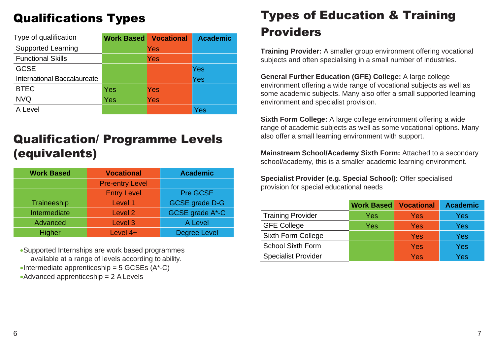### Qualifications Types

| Type of qualification       | <b>Work Based</b> | <b>Vocational</b> | <b>Academic</b> |
|-----------------------------|-------------------|-------------------|-----------------|
| <b>Supported Learning</b>   |                   | Yes               |                 |
| <b>Functional Skills</b>    |                   | Yes               |                 |
| <b>GCSE</b>                 |                   |                   | Yes             |
| International Baccalaureate |                   |                   | Yes             |
| <b>BTEC</b>                 | Yes               | Yes               |                 |
| <b>NVQ</b>                  | Yes               | Yes               |                 |
| A Level                     |                   |                   | Yes             |

### Qualification/ Programme Levels (equivalents)

| <b>Work Based</b> | <b>Vocational</b>      | <b>Academic</b>       |
|-------------------|------------------------|-----------------------|
|                   | <b>Pre-entry Level</b> |                       |
|                   | <b>Entry Level</b>     | Pre GCSE              |
| Traineeship       | Level 1                | <b>GCSE</b> grade D-G |
| Intermediate      | Level <sub>2</sub>     | GCSE grade A*-C       |
| Advanced          | Level <sub>3</sub>     | A Level               |
| Higher            | Level 4+               | <b>Degree Level</b>   |

•Supported Internships are work based programmes available at a range of levels according to ability.  $\bullet$ Intermediate apprenticeship = 5 GCSEs (A\*-C)  $\bullet$ Advanced apprenticeship = 2 A Levels

# Types of Education & Training Providers

**Training Provider:** A smaller group environment offering vocational subjects and often specialising in a small number of industries.

**General Further Education (GFE) College:** A large college environment offering a wide range of vocational subjects as well as some academic subjects. Many also offer a small supported learning environment and specialist provision.

**Sixth Form College:** A large college environment offering a wide range of academic subjects as well as some vocational options. Many also offer a small learning environment with support.

**Mainstream School/Academy Sixth Form:** Attached to a secondary school/academy, this is a smaller academic learning environment.

**Specialist Provider (e.g. Special School):** Offer specialised provision for special educational needs

|                            | <b>Work Based</b> | <b>Vocational</b> | <b>Academic</b> |
|----------------------------|-------------------|-------------------|-----------------|
| <b>Training Provider</b>   | Yes               | Yes.              | Yes             |
| <b>GFE College</b>         | Yes               | Yes               | Yes             |
| Sixth Form College         |                   | Yes               | Yes             |
| <b>School Sixth Form</b>   |                   | Yes               | Yes             |
| <b>Specialist Provider</b> |                   | Yes               | Yes             |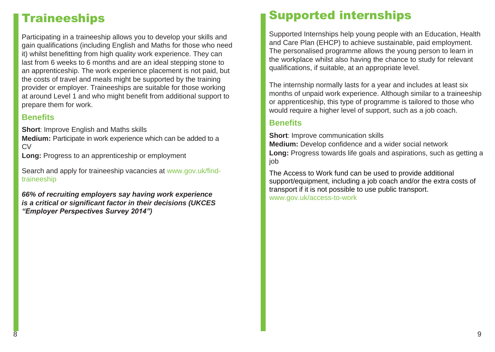### **Traineeships**

Participating in a traineeship allows you to develop your skills and gain qualifications (including English and Maths for those who need it) whilst benefitting from high quality work experience. They can last from 6 weeks to 6 months and are an ideal stepping stone to an apprenticeship. The work experience placement is not paid, but the costs of travel and meals might be supported by the training provider or employer. Traineeships are suitable for those working at around Level 1 and who might benefit from additional support to prepare them for work.

#### **Benefits**

**Short**: Improve English and Maths skills

**Medium:** Participate in work experience which can be added to a CV

**Long:** Progress to an apprenticeship or employment

Search and apply for traineeship vacancies at [www.gov.uk/find](http://www.gov.uk/find-traineeship)[traineeship](http://www.gov.uk/find-traineeship)

*66% of recruiting employers say having work experience is a critical or significant factor in their decisions (UKCES "Employer Perspectives Survey 2014")*

### Supported internships

Supported Internships help young people with an Education, Health and Care Plan (EHCP) to achieve sustainable, paid employment. The personalised programme allows the young person to learn in the workplace whilst also having the chance to study for relevant qualifications, if suitable, at an appropriate level.

The internship normally lasts for a year and includes at least six months of unpaid work experience. Although similar to a traineeship or apprenticeship, this type of programme is tailored to those who would require a higher level of support, such as a job coach.

#### **Benefits**

**Short**: Improve communication skills **Medium:** Develop confidence and a wider social network **Long:** Progress towards life goals and aspirations, such as getting a job

The Access to Work fund can be used to provide additional support/equipment, including a job coach and/or the extra costs of transport if it is not possible to use public transport. [www.gov.uk/access-to-work](http://www.gov.uk/access-to-work)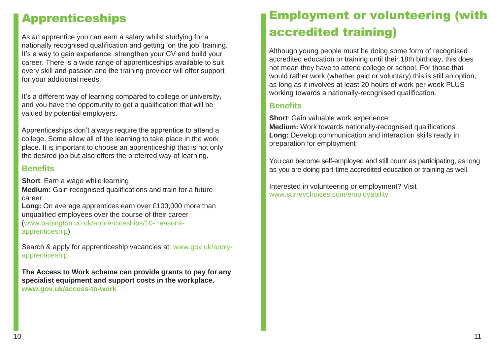### Apprenticeships

As an apprentice you can earn a salary whilst studying for a nationally recognised qualification and getting 'on the job' training. It's a way to gain experience, strengthen your CV and build your career. There is a wide range of apprenticeships available to suit every skill and passion and the training provider will offer support for your additional needs.

It's a different way of learning compared to college or university, and you have the opportunity to get a qualification that will be valued by potential employers.

Apprenticeships don't always require the apprentice to attend a college. Some allow all of the learning to take place in the work place. It is important to choose an apprenticeship that is not only the desired job but also offers the preferred way of learning.

#### **Benefits**

**Short**: Earn a wage while learning

**Medium:** Gain recognised qualifications and train for a future career

**Long:** On average apprentices earn over £100,000 more than unqualified employees over the course of their career [\(www.babington.co.uk/apprenticeships/10-](http://www.babington.co.uk/apprenticeships/10-) reasonsapprenticeship)

Search & apply for apprenticeship vacancies at: [www.gov.uk/apply](http://www.gov.uk/apply-apprenticeship)[apprenticeship](http://www.gov.uk/apply-apprenticeship)

**The Access to Work scheme can provide grants to pay for any specialist equipment and support costs in the workplace. [www.gov.uk/access-to-work](http://www.gov.uk/access-to-work)**

# Employment or volunteering (with accredited training)

Although young people must be doing some form of recognised accredited education or training until their 18th birthday, this does not mean they have to attend college or school. For those that would rather work (whether paid or voluntary) this is still an option, as long as it involves at least 20 hours of work per week PLUS working towards a nationally-recognised qualification.

#### **Benefits**

**Short**: Gain valuable work experience **Medium:** Work towards nationally-recognised qualifications **Long:** Develop communication and interaction skills ready in preparation for employment

You can become self-employed and still count as participating, as long as you are doing part-time accredited education or training as well.

Interested in volunteering or employment? Visit [www.surreychoices.com/employability](http://www.surreychoices.com/employability)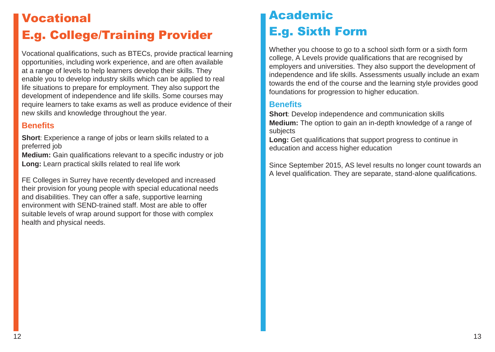# Vocational E.g. College/Training Provider

Vocational qualifications, such as BTECs, provide practical learning opportunities, including work experience, and are often available at a range of levels to help learners develop their skills. They enable you to develop industry skills which can be applied to real life situations to prepare for employment. They also support the development of independence and life skills. Some courses may require learners to take exams as well as produce evidence of their new skills and knowledge throughout the year.

#### **Benefits**

**Short**: Experience a range of jobs or learn skills related to a preferred job

**Medium:** Gain qualifications relevant to a specific industry or job **Long:** Learn practical skills related to real life work

FE Colleges in Surrey have recently developed and increased their provision for young people with special educational needs and disabilities. They can offer a safe, supportive learning environment with SEND-trained staff. Most are able to offer suitable levels of wrap around support for those with complex health and physical needs.

### Academic E.g. Sixth Form

Whether you choose to go to a school sixth form or a sixth form college, A Levels provide qualifications that are recognised by employers and universities. They also support the development of independence and life skills. Assessments usually include an exam towards the end of the course and the learning style provides good foundations for progression to higher education.

#### **Benefits**

**Short**: Develop independence and communication skills **Medium:** The option to gain an in-depth knowledge of a range of subjects

**Long:** Get qualifications that support progress to continue in education and access higher education

Since September 2015, AS level results no longer count towards an A level qualification. They are separate, stand-alone qualifications.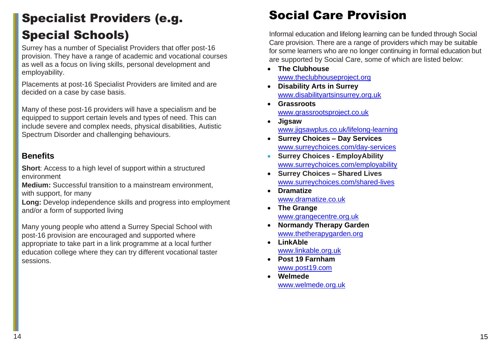# Specialist Providers (e.g. Special Schools)

Surrey has a number of Specialist Providers that offer post-16 provision. They have a range of academic and vocational courses as well as a focus on living skills, personal development and employability.

Placements at post-16 Specialist Providers are limited and are decided on a case by case basis.

Many of these post-16 providers will have a specialism and be equipped to support certain levels and types of need. This can include severe and complex needs, physical disabilities, Autistic Spectrum Disorder and challenging behaviours.

#### **Benefits**

**Short**: Access to a high level of support within a structured environment

**Medium:** Successful transition to a mainstream environment, with support, for many

**Long:** Develop independence skills and progress into employment and/or a form of supported living

Many young people who attend a Surrey Special School with post-16 provision are encouraged and supported where appropriate to take part in a link programme at a local further education college where they can try different vocational taster sessions.

### Social Care Provision

Informal education and lifelong learning can be funded through Social Care provision. There are a range of providers which may be suitable for some learners who are no longer continuing in formal education but are supported by Social Care, some of which are listed below:

- **The Clubhouse** [www.theclubhouseproject.org](http://www.theclubhouseproject.org/)
- **Disability Arts in Surrey** [www.disabilityartsinsurrey.org.uk](http://www.disabilityartsinsurrey.org.uk/)
- **Grassroots** [www.grassrootsproject.co.uk](http://www.grassrootsproject.co.uk/)
- **Jigsaw** [www.jigsawplus.co.uk/lifelong-learning](http://www.jigsawplus.co.uk/lifelong-learning)
- **Surrey Choices – Day Services** [www.surreychoices.com/day-services](http://www.surreychoices.com/day-services)
- **Surrey Choices - EmployAbility** [www.surreychoices.com/employability](http://www.surreychoices.com/employability)
- **Surrey Choices – Shared Lives** [www.surreychoices.com/shared-lives](http://www.surreychoices.com/shared-lives)
- **Dramatize** [www.dramatize.co.uk](http://www.dramatize.co.uk/)
- **The Grange** [www.grangecentre.org.uk](http://www.grangecentre.org.uk/)
- **Normandy Therapy Garden** [www.thetherapygarden.org](http://www.thetherapygarden.org/)
- **LinkAble** [www.linkable.org.uk](http://www.linkable.org.uk/)
- **Post 19 Farnham** [www.post19.com](http://www.post19.com/)
- **Welmede** [www.welmede.org.uk](http://www.welmede.org.uk/)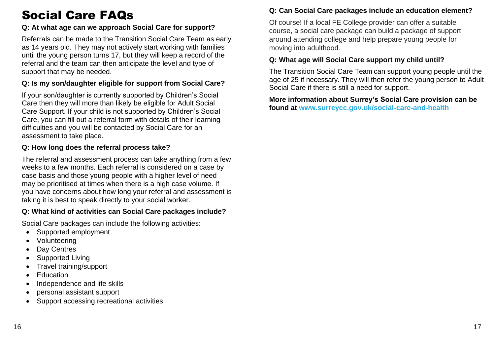# Social Care FAQs

#### **Q: At what age can we approach Social Care for support?**

Referrals can be made to the Transition Social Care Team as early as 14 years old. They may not actively start working with families until the young person turns 17, but they will keep a record of the referral and the team can then anticipate the level and type of support that may be needed.

#### **Q: Is my son/daughter eligible for support from Social Care?**

If your son/daughter is currently supported by Children's Social Care then they will more than likely be eligible for Adult Social Care Support. If your child is not supported by Children's Social Care, you can fill out a referral form with details of their learning difficulties and you will be contacted by Social Care for an assessment to take place.

#### **Q: How long does the referral process take?**

The referral and assessment process can take anything from a few weeks to a few months. Each referral is considered on a case by case basis and those young people with a higher level of need may be prioritised at times when there is a high case volume. If you have concerns about how long your referral and assessment is taking it is best to speak directly to your social worker.

#### **Q: What kind of activities can Social Care packages include?**

Social Care packages can include the following activities:

- Supported employment
- Volunteering
- Day Centres
- Supported Living
- Travel training/support
- Education
- Independence and life skills
- personal assistant support
- Support accessing recreational activities

#### **Q: Can Social Care packages include an education element?**

Of course! If a local FE College provider can offer a suitable course, a social care package can build a package of support around attending college and help prepare young people for moving into adulthood.

#### **Q: What age will Social Care support my child until?**

The Transition Social Care Team can support young people until the age of 25 if necessary. They will then refer the young person to Adult Social Care if there is still a need for support.

**More information about Surrey's Social Care provision can be found at [www.surreycc.gov.uk/social-care-and-health](http://www.surreycc.gov.uk/social-care-and-health)**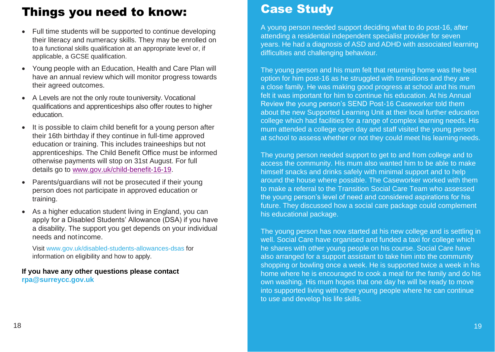### Things you need to know:

- Full time students will be supported to continue developing their literacy and numeracy skills. They may be enrolled on to a functional skills qualification at an appropriate level or, if applicable, a GCSE qualification.
- Young people with an Education, Health and Care Plan will have an annual review which will monitor progress towards their agreed outcomes.
- A Levels are not the only route touniversity. Vocational qualifications and apprenticeships also offer routes to higher education.
- It is possible to claim child benefit for a young person after their 16th birthday if they continue in full-time approved education or training. This includes traineeships but not apprenticeships. The Child Benefit Office must be informed otherwise payments will stop on 31st August. For full details go to [www.gov.uk/child-benefit-16-19.](http://www.gov.uk/child-benefit-16-19)
- Parents/guardians will not be prosecuted if their young person does not participate in approved education or training.
- As a higher education student living in England, you can apply for a Disabled Students' Allowance (DSA) if you have a disability. The support you get depends on your individual needs and notincome.

Visit [www.gov.uk/disabled-students-allowances-dsas f](http://www.gov.uk/disabled-students-allowances-dsas)or information on eligibility and how to apply.

**If you have any other questions please contact [rpa@surreycc.gov.uk](mailto:rpa@surreycc.gov.uk)**

### Case Study

A young person needed support deciding what to do post-16, after attending a residential independent specialist provider for seven years. He had a diagnosis of ASD and ADHD with associated learning difficulties and challenging behaviour.

The young person and his mum felt that returning home was the best option for him post-16 as he struggled with transitions and they are a close family. He was making good progress at school and his mum felt it was important for him to continue his education. At his Annual Review the young person's SEND Post-16 Caseworker told them about the new Supported Learning Unit at their local further education college which had facilities for a range of complex learning needs. His mum attended a college open day and staff visited the young person at school to assess whether or not they could meet his learning needs.

The young person needed support to get to and from college and to access the community. His mum also wanted him to be able to make himself snacks and drinks safely with minimal support and to help around the house where possible. The Caseworker worked with them to make a referral to the Transition Social Care Team who assessed the young person's level of need and considered aspirations for his future. They discussed how a social care package could complement his educational package.

The young person has now started at his new college and is settling in well. Social Care have organised and funded a taxi for college which he shares with other young people on his course. Social Care have also arranged for a support assistant to take him into the community shopping or bowling once a week. He is supported twice a week in his home where he is encouraged to cook a meal for the family and do his own washing. His mum hopes that one day he will be ready to move into supported living with other young people where he can continue to use and develop his life skills.